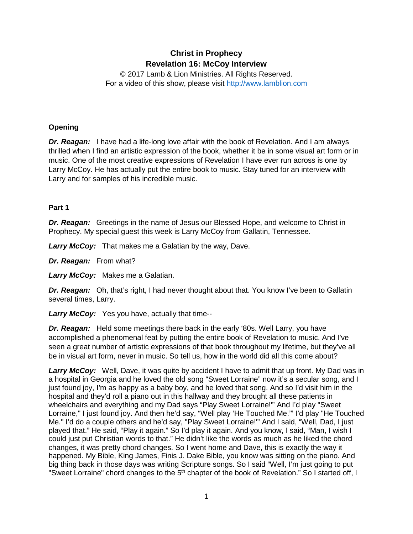# **Christ in Prophecy Revelation 16: McCoy Interview**

© 2017 Lamb & Lion Ministries. All Rights Reserved. For a video of this show, please visit [http://www.lamblion.com](http://www.lamblion.com/)

## **Opening**

*Dr. Reagan:* I have had a life-long love affair with the book of Revelation. And I am always thrilled when I find an artistic expression of the book, whether it be in some visual art form or in music. One of the most creative expressions of Revelation I have ever run across is one by Larry McCoy. He has actually put the entire book to music. Stay tuned for an interview with Larry and for samples of his incredible music.

#### **Part 1**

**Dr. Reagan:** Greetings in the name of Jesus our Blessed Hope, and welcome to Christ in Prophecy. My special guest this week is Larry McCoy from Gallatin, Tennessee.

*Larry McCoy:* That makes me a Galatian by the way, Dave.

*Dr. Reagan:* From what?

*Larry McCoy:* Makes me a Galatian.

*Dr. Reagan:* Oh, that's right, I had never thought about that. You know I've been to Gallatin several times, Larry.

*Larry McCoy:* Yes you have, actually that time--

*Dr. Reagan:* Held some meetings there back in the early '80s. Well Larry, you have accomplished a phenomenal feat by putting the entire book of Revelation to music. And I've seen a great number of artistic expressions of that book throughout my lifetime, but they've all be in visual art form, never in music. So tell us, how in the world did all this come about?

Larry McCoy: Well, Dave, it was quite by accident I have to admit that up front. My Dad was in a hospital in Georgia and he loved the old song "Sweet Lorraine" now it's a secular song, and I just found joy, I'm as happy as a baby boy, and he loved that song. And so I'd visit him in the hospital and they'd roll a piano out in this hallway and they brought all these patients in wheelchairs and everything and my Dad says "Play Sweet Lorraine!'" And I'd play "Sweet Lorraine," I just found joy. And then he'd say, "Well play 'He Touched Me.'" I'd play "He Touched Me." I'd do a couple others and he'd say, "Play Sweet Lorraine!'" And I said, "Well, Dad, I just played that." He said, "Play it again." So I'd play it again. And you know, I said, "Man, I wish I could just put Christian words to that." He didn't like the words as much as he liked the chord changes, it was pretty chord changes. So I went home and Dave, this is exactly the way it happened. My Bible, King James, Finis J. Dake Bible, you know was sitting on the piano. And big thing back in those days was writing Scripture songs. So I said "Well, I'm just going to put "Sweet Lorraine" chord changes to the 5<sup>th</sup> chapter of the book of Revelation." So I started off, I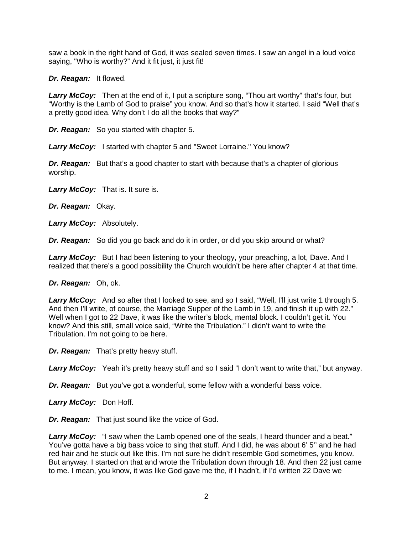saw a book in the right hand of God, it was sealed seven times. I saw an angel in a loud voice saying, "Who is worthy?" And it fit just, it just fit!

*Dr. Reagan:* It flowed.

*Larry McCoy:* Then at the end of it, I put a scripture song, "Thou art worthy" that's four, but "Worthy is the Lamb of God to praise" you know. And so that's how it started. I said "Well that's a pretty good idea. Why don't I do all the books that way?"

*Dr. Reagan:* So you started with chapter 5.

*Larry McCoy:* I started with chapter 5 and "Sweet Lorraine." You know?

**Dr. Reagan:** But that's a good chapter to start with because that's a chapter of glorious worship.

*Larry McCoy:* That is. It sure is.

*Dr. Reagan:* Okay.

*Larry McCoy:* Absolutely.

*Dr. Reagan:* So did you go back and do it in order, or did you skip around or what?

*Larry McCoy:* But I had been listening to your theology, your preaching, a lot, Dave. And I realized that there's a good possibility the Church wouldn't be here after chapter 4 at that time.

*Dr. Reagan:* Oh, ok.

Larry McCoy: And so after that I looked to see, and so I said, "Well, I'll just write 1 through 5. And then I'll write, of course, the Marriage Supper of the Lamb in 19, and finish it up with 22." Well when I got to 22 Dave, it was like the writer's block, mental block. I couldn't get it. You know? And this still, small voice said, "Write the Tribulation." I didn't want to write the Tribulation. I'm not going to be here.

*Dr. Reagan:* That's pretty heavy stuff.

Larry McCoy: Yeah it's pretty heavy stuff and so I said "I don't want to write that," but anyway.

*Dr. Reagan:* But you've got a wonderful, some fellow with a wonderful bass voice.

*Larry McCoy:* Don Hoff.

*Dr. Reagan:* That just sound like the voice of God.

**Larry McCoy:** "I saw when the Lamb opened one of the seals, I heard thunder and a beat." You've gotta have a big bass voice to sing that stuff. And I did, he was about 6' 5'' and he had red hair and he stuck out like this. I'm not sure he didn't resemble God sometimes, you know. But anyway. I started on that and wrote the Tribulation down through 18. And then 22 just came to me. I mean, you know, it was like God gave me the, if I hadn't, if I'd written 22 Dave we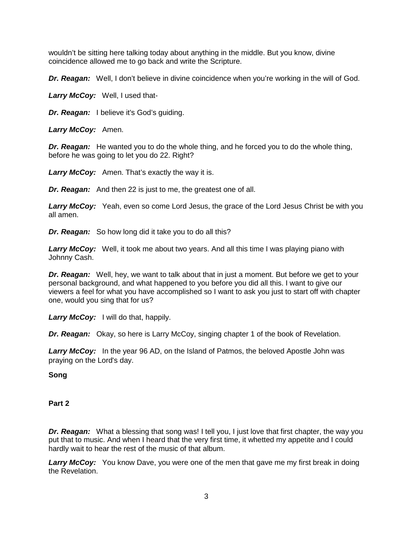wouldn't be sitting here talking today about anything in the middle. But you know, divine coincidence allowed me to go back and write the Scripture.

*Dr. Reagan:* Well, I don't believe in divine coincidence when you're working in the will of God.

*Larry McCoy:* Well, I used that-

*Dr. Reagan:* I believe it's God's guiding.

*Larry McCoy:* Amen.

*Dr. Reagan:* He wanted you to do the whole thing, and he forced you to do the whole thing, before he was going to let you do 22. Right?

*Larry McCoy:* Amen. That's exactly the way it is.

*Dr. Reagan:* And then 22 is just to me, the greatest one of all.

*Larry McCoy:* Yeah, even so come Lord Jesus, the grace of the Lord Jesus Christ be with you all amen.

*Dr. Reagan:* So how long did it take you to do all this?

*Larry McCoy:* Well, it took me about two years. And all this time I was playing piano with Johnny Cash.

*Dr. Reagan:* Well, hey, we want to talk about that in just a moment. But before we get to your personal background, and what happened to you before you did all this. I want to give our viewers a feel for what you have accomplished so I want to ask you just to start off with chapter one, would you sing that for us?

*Larry McCoy:* I will do that, happily.

*Dr. Reagan:* Okay, so here is Larry McCoy, singing chapter 1 of the book of Revelation.

*Larry McCoy:* In the year 96 AD, on the Island of Patmos, the beloved Apostle John was praying on the Lord's day.

**Song**

#### **Part 2**

*Dr. Reagan:* What a blessing that song was! I tell you, I just love that first chapter, the way you put that to music. And when I heard that the very first time, it whetted my appetite and I could hardly wait to hear the rest of the music of that album.

*Larry McCoy:* You know Dave, you were one of the men that gave me my first break in doing the Revelation.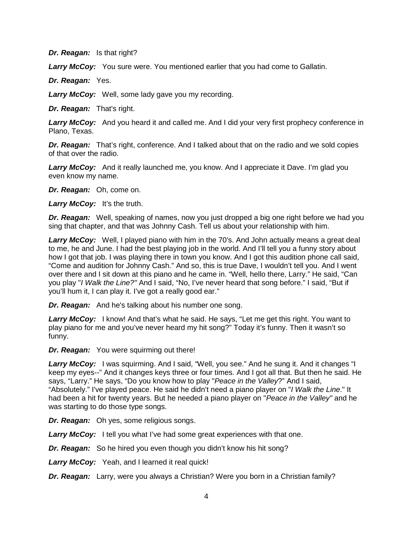*Dr. Reagan:* Is that right?

Larry McCoy: You sure were. You mentioned earlier that you had come to Gallatin.

*Dr. Reagan:* Yes.

*Larry McCoy:* Well, some lady gave you my recording.

*Dr. Reagan:* That's right.

**Larry McCoy:** And you heard it and called me. And I did your very first prophecy conference in Plano, Texas.

*Dr. Reagan:* That's right, conference. And I talked about that on the radio and we sold copies of that over the radio.

*Larry McCoy:* And it really launched me, you know. And I appreciate it Dave. I'm glad you even know my name.

*Dr. Reagan:* Oh, come on.

Larry McCoy: It's the truth.

*Dr. Reagan:* Well, speaking of names, now you just dropped a big one right before we had you sing that chapter, and that was Johnny Cash. Tell us about your relationship with him.

*Larry McCoy:* Well, I played piano with him in the 70's. And John actually means a great deal to me, he and June. I had the best playing job in the world. And I'll tell you a funny story about how I got that job. I was playing there in town you know. And I got this audition phone call said, "Come and audition for Johnny Cash." And so, this is true Dave, I wouldn't tell you. And I went over there and I sit down at this piano and he came in. "Well, hello there, Larry." He said, "Can you play "*I Walk the Line?"* And I said, "No, I've never heard that song before." I said, "But if you'll hum it, I can play it. I've got a really good ear."

*Dr. Reagan:* And he's talking about his number one song.

Larry McCoy: I know! And that's what he said. He says, "Let me get this right. You want to play piano for me and you've never heard my hit song?" Today it's funny. Then it wasn't so funny.

*Dr. Reagan:* You were squirming out there!

*Larry McCoy:* I was squirming. And I said, "Well, you see." And he sung it. And it changes "I keep my eyes--" And it changes keys three or four times. And I got all that. But then he said. He says, "Larry." He says, "Do you know how to play "*Peace in the Valley*?" And I said, "Absolutely." I've played peace. He said he didn't need a piano player on "*I Walk the Line*." It had been a hit for twenty years. But he needed a piano player on "*Peace in the Valley"* and he was starting to do those type songs.

*Dr. Reagan:* Oh yes, some religious songs.

**Larry McCoy:** I tell you what I've had some great experiences with that one.

*Dr. Reagan:* So he hired you even though you didn't know his hit song?

*Larry McCoy:* Yeah, and I learned it real quick!

*Dr. Reagan:* Larry, were you always a Christian? Were you born in a Christian family?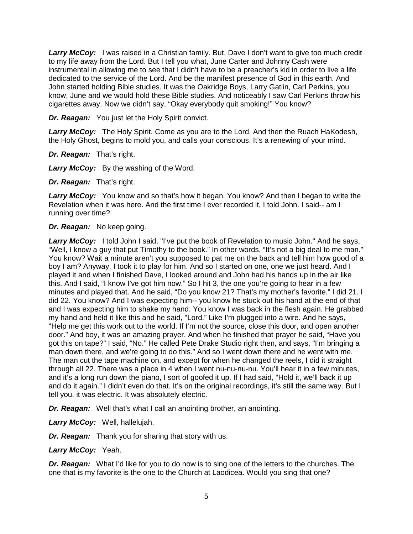*Larry McCoy:* I was raised in a Christian family. But, Dave I don't want to give too much credit to my life away from the Lord. But I tell you what, June Carter and Johnny Cash were instrumental in allowing me to see that I didn't have to be a preacher's kid in order to live a life dedicated to the service of the Lord. And be the manifest presence of God in this earth. And John started holding Bible studies. It was the Oakridge Boys, Larry Gatlin, Carl Perkins, you know, June and we would hold these Bible studies. And noticeably I saw Carl Perkins throw his cigarettes away. Now we didn't say, "Okay everybody quit smoking!" You know?

*Dr. Reagan:* You just let the Holy Spirit convict.

*Larry McCoy:* The Holy Spirit. Come as you are to the Lord. And then the Ruach HaKodesh, the Holy Ghost, begins to mold you, and calls your conscious. It's a renewing of your mind.

*Dr. Reagan:* That's right.

*Larry McCoy:* By the washing of the Word.

*Dr. Reagan:* That's right.

Larry McCoy: You know and so that's how it began. You know? And then I began to write the Revelation when it was here. And the first time I ever recorded it, I told John. I said-- am I running over time?

*Dr. Reagan:* No keep going.

*Larry McCoy:* I told John I said, "I've put the book of Revelation to music John." And he says, "Well, I know a guy that put Timothy to the book." In other words, "It's not a big deal to me man." You know? Wait a minute aren't you supposed to pat me on the back and tell him how good of a boy I am? Anyway, I took it to play for him. And so I started on one, one we just heard. And I played it and when I finished Dave, I looked around and John had his hands up in the air like this. And I said, "I know I've got him now." So I hit 3, the one you're going to hear in a few minutes and played that. And he said, "Do you know 21? That's my mother's favorite." I did 21. I did 22. You know? And I was expecting him-- you know he stuck out his hand at the end of that and I was expecting him to shake my hand. You know I was back in the flesh again. He grabbed my hand and held it like this and he said, "Lord." Like I'm plugged into a wire. And he says, "Help me get this work out to the world. If I'm not the source, close this door, and open another door." And boy, it was an amazing prayer. And when he finished that prayer he said, "Have you got this on tape?" I said, "No." He called Pete Drake Studio right then, and says, "I'm bringing a man down there, and we're going to do this." And so I went down there and he went with me. The man cut the tape machine on, and except for when he changed the reels, I did it straight through all 22. There was a place in 4 when I went nu-nu-nu-nu. You'll hear it in a few minutes, and it's a long run down the piano, I sort of goofed it up. If I had said, "Hold it, we'll back it up and do it again." I didn't even do that. It's on the original recordings, it's still the same way. But I tell you, it was electric. It was absolutely electric.

*Dr. Reagan:* Well that's what I call an anointing brother, an anointing.

*Larry McCoy:* Well, hallelujah.

*Dr. Reagan:* Thank you for sharing that story with us.

*Larry McCoy:* Yeah.

*Dr. Reagan:* What I'd like for you to do now is to sing one of the letters to the churches. The one that is my favorite is the one to the Church at Laodicea. Would you sing that one?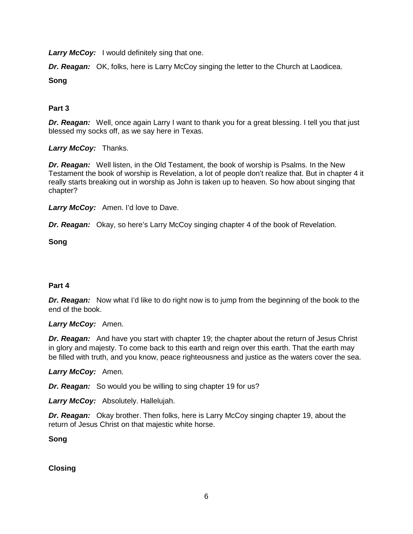**Larry McCoy:** I would definitely sing that one.

**Dr. Reagan:** OK, folks, here is Larry McCoy singing the letter to the Church at Laodicea.

**Song**

# **Part 3**

*Dr. Reagan:* Well, once again Larry I want to thank you for a great blessing. I tell you that just blessed my socks off, as we say here in Texas.

## *Larry McCoy:* Thanks.

*Dr. Reagan:* Well listen, in the Old Testament, the book of worship is Psalms. In the New Testament the book of worship is Revelation, a lot of people don't realize that. But in chapter 4 it really starts breaking out in worship as John is taken up to heaven. So how about singing that chapter?

*Larry McCoy:* Amen. I'd love to Dave.

*Dr. Reagan:* Okay, so here's Larry McCoy singing chapter 4 of the book of Revelation.

## **Song**

# **Part 4**

**Dr. Reagan:** Now what I'd like to do right now is to jump from the beginning of the book to the end of the book.

#### *Larry McCoy:* Amen.

**Dr. Reagan:** And have you start with chapter 19; the chapter about the return of Jesus Christ in glory and majesty. To come back to this earth and reign over this earth. That the earth may be filled with truth, and you know, peace righteousness and justice as the waters cover the sea.

#### *Larry McCoy:* Amen.

*Dr. Reagan:* So would you be willing to sing chapter 19 for us?

*Larry McCoy:* Absolutely. Hallelujah.

*Dr. Reagan:* Okay brother. Then folks, here is Larry McCoy singing chapter 19, about the return of Jesus Christ on that majestic white horse.

**Song**

**Closing**